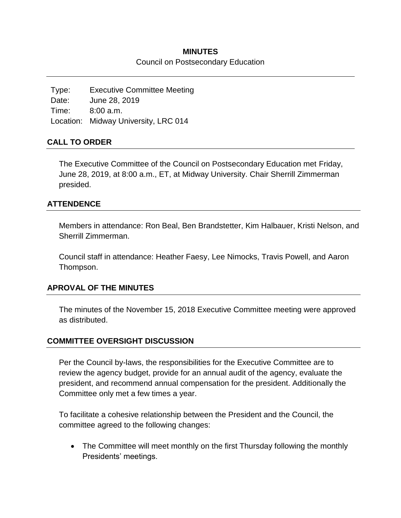## **MINUTES**

#### Council on Postsecondary Education

Type: Executive Committee Meeting Date: June 28, 2019 Time: 8:00 a.m. Location: Midway University, LRC 014

# **CALL TO ORDER**

The Executive Committee of the Council on Postsecondary Education met Friday, June 28, 2019, at 8:00 a.m., ET, at Midway University. Chair Sherrill Zimmerman presided.

## **ATTENDENCE**

Members in attendance: Ron Beal, Ben Brandstetter, Kim Halbauer, Kristi Nelson, and Sherrill Zimmerman.

Council staff in attendance: Heather Faesy, Lee Nimocks, Travis Powell, and Aaron Thompson.

### **APROVAL OF THE MINUTES**

The minutes of the November 15, 2018 Executive Committee meeting were approved as distributed.

# **COMMITTEE OVERSIGHT DISCUSSION**

Per the Council by-laws, the responsibilities for the Executive Committee are to review the agency budget, provide for an annual audit of the agency, evaluate the president, and recommend annual compensation for the president. Additionally the Committee only met a few times a year.

To facilitate a cohesive relationship between the President and the Council, the committee agreed to the following changes:

• The Committee will meet monthly on the first Thursday following the monthly Presidents' meetings.